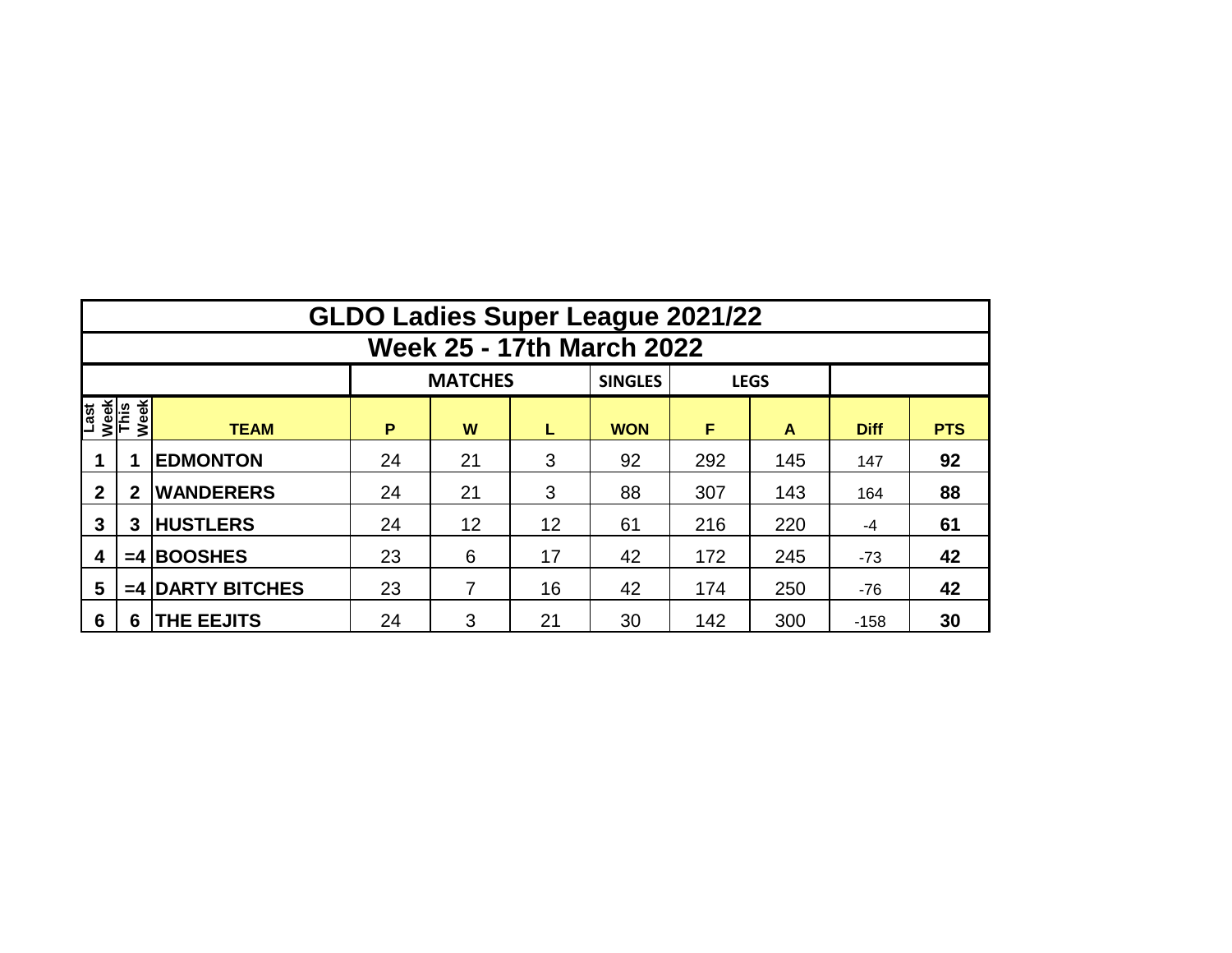|                                     | <b>GLDO Ladies Super League 2021/22</b> |                    |        |                |    |                |     |             |             |            |  |  |  |  |  |
|-------------------------------------|-----------------------------------------|--------------------|--------|----------------|----|----------------|-----|-------------|-------------|------------|--|--|--|--|--|
|                                     | <b>Week 25 - 17th March 2022</b>        |                    |        |                |    |                |     |             |             |            |  |  |  |  |  |
|                                     |                                         |                    |        | <b>MATCHES</b> |    | <b>SINGLES</b> |     | <b>LEGS</b> |             |            |  |  |  |  |  |
| Week<br>This<br>Week<br><b>Last</b> |                                         | <b>TEAM</b>        | P<br>W |                | L  | <b>WON</b>     | F   | A           | <b>Diff</b> | <b>PTS</b> |  |  |  |  |  |
|                                     |                                         | <b>EDMONTON</b>    | 24     | 21             | 3  | 92             | 292 | 145         | 147         | 92         |  |  |  |  |  |
| $\mathbf{2}$                        | $\mathbf{2}$                            | <b>WANDERERS</b>   | 24     | 21             | 3  | 88             | 307 | 143         | 164         | 88         |  |  |  |  |  |
| 3                                   | 3                                       | <b>HUSTLERS</b>    | 24     | 12<br>12       |    | 61             | 216 | 220         | -4          | 61         |  |  |  |  |  |
| 4                                   |                                         | $=4$ BOOSHES       | 23     | 6              | 17 | 42             | 172 | 245         | $-73$       | 42         |  |  |  |  |  |
| 5                                   |                                         | $=4$ DARTY BITCHES | 23     | 7              | 16 | 42             | 174 | 250         | $-76$       | 42         |  |  |  |  |  |
| 6                                   | 6                                       | <b>THE EEJITS</b>  | 24     | 3              | 21 | 30             | 142 | 300         | $-158$      | 30         |  |  |  |  |  |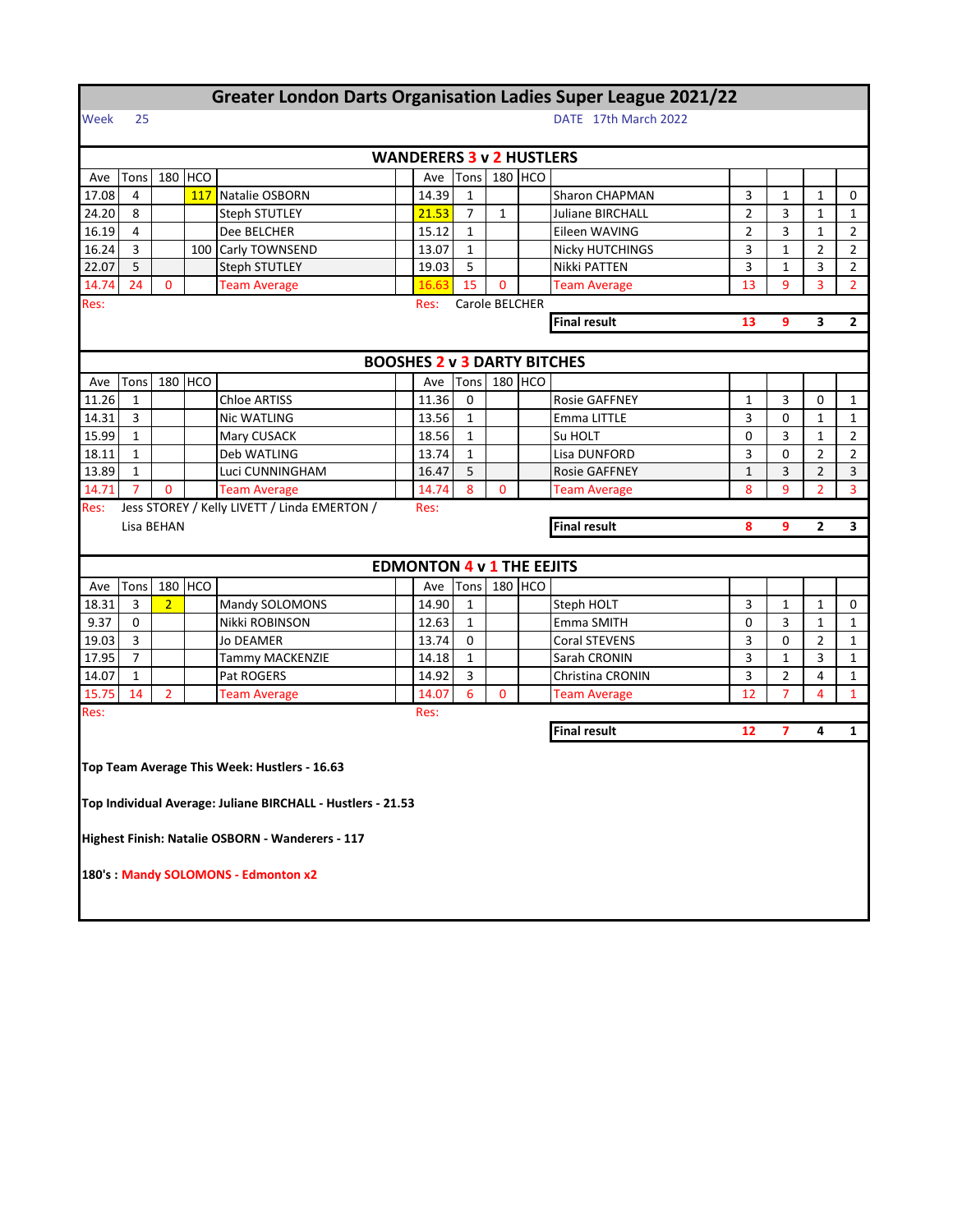|                                                              | <b>Greater London Darts Organisation Ladies Super League 2021/22</b> |                |         |                                                             |  |                                    |                |              |            |                         |                |              |                |                |  |
|--------------------------------------------------------------|----------------------------------------------------------------------|----------------|---------|-------------------------------------------------------------|--|------------------------------------|----------------|--------------|------------|-------------------------|----------------|--------------|----------------|----------------|--|
| 25<br>DATE 17th March 2022<br>Week                           |                                                                      |                |         |                                                             |  |                                    |                |              |            |                         |                |              |                |                |  |
|                                                              |                                                                      |                |         |                                                             |  | <b>WANDERERS 3 v 2 HUSTLERS</b>    |                |              |            |                         |                |              |                |                |  |
| Ave                                                          | Tons                                                                 |                | 180 HCO |                                                             |  | Ave                                | Tons           |              | 180 HCO    |                         |                |              |                |                |  |
| 17.08                                                        | 4                                                                    |                | 117     | Natalie OSBORN                                              |  | 14.39                              | $\mathbf{1}$   |              |            | <b>Sharon CHAPMAN</b>   | 3              | $\mathbf{1}$ | $\mathbf{1}$   | 0              |  |
| 24.20                                                        | 8                                                                    |                |         | Steph STUTLEY                                               |  | 21.53                              | $\overline{7}$ | $\mathbf{1}$ |            | <b>Juliane BIRCHALL</b> | $\overline{2}$ | 3            | $\mathbf{1}$   | $\mathbf{1}$   |  |
| 16.19                                                        | 4                                                                    |                |         | Dee BELCHER                                                 |  | 15.12                              | $\mathbf{1}$   |              |            | Eileen WAVING           | 2              | 3            | $\mathbf{1}$   | 2              |  |
| 16.24                                                        | 3                                                                    |                |         | 100 Carly TOWNSEND                                          |  | 13.07                              | $\mathbf{1}$   |              |            | Nicky HUTCHINGS         | 3              | $\mathbf{1}$ | $\overline{2}$ | 2              |  |
| 22.07                                                        | 5                                                                    |                |         | <b>Steph STUTLEY</b>                                        |  | 19.03                              | 5              |              |            | Nikki PATTEN            | 3              | 1            | 3              | $\overline{2}$ |  |
| 14.74                                                        | 24                                                                   | 0              |         | <b>Team Average</b>                                         |  | 16.63                              | 15             | $\mathbf{0}$ |            | <b>Team Average</b>     | 13             | 9            | 3              | $\overline{2}$ |  |
| Res:                                                         | Carole BELCHER<br>Res:                                               |                |         |                                                             |  |                                    |                |              |            |                         |                |              |                |                |  |
| <b>Final result</b><br>3<br>$\mathbf{2}$<br>13<br>9          |                                                                      |                |         |                                                             |  |                                    |                |              |            |                         |                |              |                |                |  |
|                                                              |                                                                      |                |         |                                                             |  |                                    |                |              |            |                         |                |              |                |                |  |
|                                                              |                                                                      |                |         |                                                             |  | <b>BOOSHES 2 v 3 DARTY BITCHES</b> |                |              |            |                         |                |              |                |                |  |
| Ave                                                          | Tons                                                                 |                | 180 HCO |                                                             |  | Ave                                | Tons           | 180          | <b>HCO</b> |                         |                |              |                |                |  |
| 11.26                                                        | $\mathbf{1}$                                                         |                |         | <b>Chloe ARTISS</b>                                         |  | 11.36                              | 0              |              |            | <b>Rosie GAFFNEY</b>    | $\mathbf 1$    | 3            | 0              | $\mathbf{1}$   |  |
| 14.31                                                        | 3                                                                    |                |         | <b>Nic WATLING</b>                                          |  | 13.56                              | $\mathbf{1}$   |              |            | Emma LITTLE             | 3              | 0            | $\mathbf{1}$   | 1              |  |
| 15.99                                                        | $\mathbf{1}$                                                         |                |         | Mary CUSACK                                                 |  | 18.56                              | $\mathbf{1}$   |              |            | Su HOLT                 | 0              | 3            | 1              | 2              |  |
| 18.11                                                        | $\mathbf{1}$                                                         |                |         | Deb WATLING                                                 |  | 13.74                              | $\mathbf{1}$   |              |            | Lisa DUNFORD            | 3              | 0            | 2              | 2              |  |
| 13.89                                                        | $\mathbf{1}$                                                         |                |         | Luci CUNNINGHAM                                             |  | 16.47                              | 5              |              |            | <b>Rosie GAFFNEY</b>    | $\mathbf{1}$   | 3            | $\overline{2}$ | 3              |  |
| 14.71                                                        | $\overline{7}$                                                       | $\mathbf{0}$   |         | <b>Team Average</b>                                         |  | 14.74                              | 8              | 0            |            | <b>Team Average</b>     | 8              | 9            | $\overline{2}$ | 3              |  |
| Jess STOREY / Kelly LIVETT / Linda EMERTON /<br>Res:<br>Res: |                                                                      |                |         |                                                             |  |                                    |                |              |            |                         |                |              |                |                |  |
|                                                              | <b>Final result</b><br>Lisa BEHAN                                    |                |         |                                                             |  |                                    |                | 8            | 9          | $\mathbf{2}$            | 3              |              |                |                |  |
|                                                              |                                                                      |                |         |                                                             |  |                                    |                |              |            |                         |                |              |                |                |  |
|                                                              |                                                                      |                |         |                                                             |  | <b>EDMONTON 4 v 1 THE EEJITS</b>   |                |              |            |                         |                |              |                |                |  |
| Ave                                                          | Tons                                                                 |                | 180 HCO |                                                             |  | Ave                                | Tons           |              | 180 HCO    |                         |                |              |                |                |  |
| 18.31                                                        | 3                                                                    | $\overline{2}$ |         | Mandy SOLOMONS                                              |  | 14.90                              | $\mathbf{1}$   |              |            | Steph HOLT              | 3              | $\mathbf{1}$ | $\mathbf{1}$   | 0              |  |
| 9.37                                                         | 0                                                                    |                |         | Nikki ROBINSON                                              |  | 12.63                              | 1              |              |            | Emma SMITH              | 0              | 3            | 1              | 1              |  |
| 19.03                                                        | 3                                                                    |                |         | Jo DEAMER                                                   |  | 13.74                              | 0              |              |            | <b>Coral STEVENS</b>    | 3              | 0            | $\overline{2}$ | $\mathbf{1}$   |  |
| 17.95                                                        | $\overline{7}$                                                       |                |         | Tammy MACKENZIE                                             |  | 14.18                              | $\mathbf{1}$   |              |            | Sarah CRONIN            | 3              | $\mathbf{1}$ | 3              | 1              |  |
|                                                              |                                                                      |                |         | Pat ROGERS                                                  |  |                                    |                |              |            | Christina CRONIN        | 3              | 2            | 4              | 1              |  |
| 14.07                                                        | 1                                                                    |                |         |                                                             |  | 14.92                              | 3              |              |            |                         |                |              |                | $\mathbf{1}$   |  |
| 15.75                                                        | 14                                                                   | $\overline{2}$ |         | <b>Team Average</b>                                         |  | 14.07                              | 6              | $\mathbf{0}$ |            | <b>Team Average</b>     | 12             | 7            | 4              |                |  |
| Res:                                                         |                                                                      |                |         |                                                             |  | Res:                               |                |              |            |                         |                |              |                |                |  |
|                                                              |                                                                      |                |         |                                                             |  |                                    |                |              |            | <b>Final result</b>     | 12             | 7            | 4              | $\mathbf{1}$   |  |
|                                                              |                                                                      |                |         | Top Team Average This Week: Hustlers - 16.63                |  |                                    |                |              |            |                         |                |              |                |                |  |
|                                                              |                                                                      |                |         | Top Individual Average: Juliane BIRCHALL - Hustlers - 21.53 |  |                                    |                |              |            |                         |                |              |                |                |  |
|                                                              |                                                                      |                |         | Highest Finish: Natalie OSBORN - Wanderers - 117            |  |                                    |                |              |            |                         |                |              |                |                |  |

ı